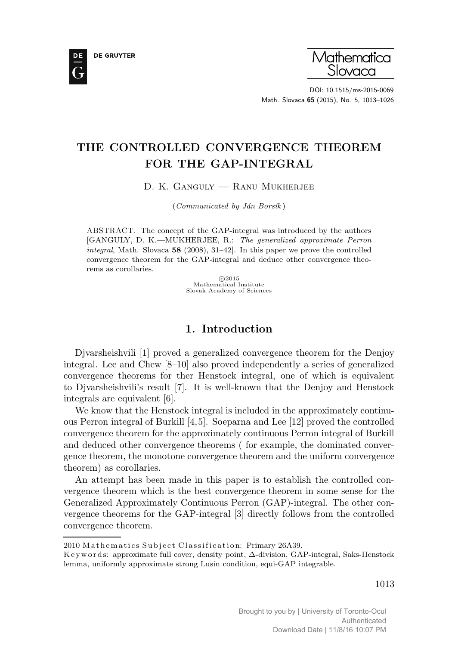



DOI: 10.1515/ms-2015-0069 Math. Slovaca 65 (2015), No. 5, 1013–1026

# THE CONTROLLED CONVERGENCE THEOREM FOR THE GAP-INTEGRAL

D. K. Ganguly — Ranu Mukherjee

 $(Communicated by Ján Borsík)$ 

ABSTRACT. The concept of the GAP-integral was introduced by the authors [GANGULY, D. K.—MUKHERJEE, R.: The generalized approximate Perron integral, Math. Slovaca  $58$  (2008), 31–42. In this paper we prove the controlled convergence theorem for the GAP-integral and deduce other convergence theorems as corollaries.

> c 2015 Mathematical Institute Slovak Academy of Sciences

## 1. Introduction

Djvarsheishvili [1] proved a generalized convergence theorem for the Denjoy integral. Lee and Chew [8–10] also proved independently a series of generalized convergence theorems for ther Henstock integral, one of which is equivalent to Djvarsheishvili's result [7]. It is well-known that the Denjoy and Henstock integrals are equivalent [6].

We know that the Henstock integral is included in the approximately continuous Perron integral of Burkill [4,5]. Soeparna and Lee [12] proved the controlled convergence theorem for the approximately continuous Perron integral of Burkill and deduced other convergence theorems ( for example, the dominated convergence theorem, the monotone convergence theorem and the uniform convergence theorem) as corollaries.

An attempt has been made in this paper is to establish the controlled convergence theorem which is the best convergence theorem in some sense for the Generalized Approximately Continuous Perron (GAP)-integral. The other convergence theorems for the GAP-integral [3] directly follows from the controlled convergence theorem.

<sup>2010</sup> Mathematics Subject Classification: Primary 26A39.

K e y w ords: approximate full cover, density point, ∆-division, GAP-integral, Saks-Henstock lemma, uniformly approximate strong Lusin condition, equi-GAP integrable.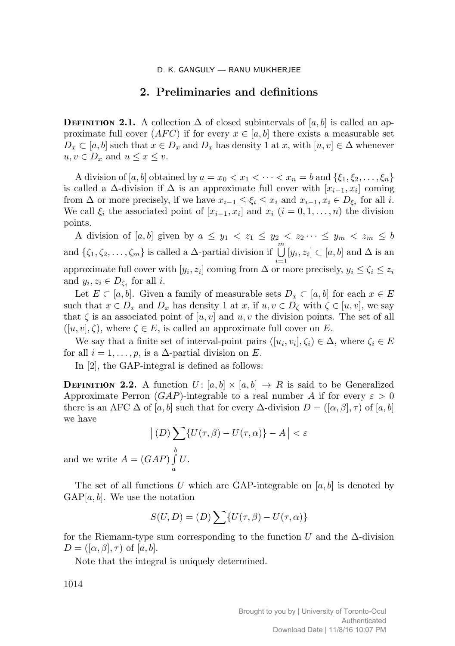## 2. Preliminaries and definitions

**DEFINITION 2.1.** A collection  $\Delta$  of closed subintervals of  $[a, b]$  is called an approximate full cover  $(AFC)$  if for every  $x \in [a, b]$  there exists a measurable set  $D_x \subset [a, b]$  such that  $x \in D_x$  and  $D_x$  has density 1 at x, with  $[u, v] \in \Delta$  whenever  $u, v \in D_x$  and  $u \leq x \leq v$ .

A division of [a, b] obtained by  $a = x_0 < x_1 < \cdots < x_n = b$  and  $\{\xi_1, \xi_2, \ldots, \xi_n\}$ is called a  $\Delta$ -division if  $\Delta$  is an approximate full cover with  $[x_{i-1}, x_i]$  coming from  $\Delta$  or more precisely, if we have  $x_{i-1} \leq \xi_i \leq x_i$  and  $x_{i-1}, x_i \in D_{\xi_i}$  for all i. We call  $\xi_i$  the associated point of  $[x_{i-1}, x_i]$  and  $x_i$   $(i = 0, 1, ..., n)$  the division points.

A division of  $[a, b]$  given by  $a \leq y_1 < z_1 \leq y_2 < z_2 \cdots \leq y_m < z_m \leq b$ and  $\{\zeta_1, \zeta_2, \ldots, \zeta_m\}$  is called a  $\Delta$ -partial division if  $\bigcup_{i=1}^m [y_i, z_i] \subset [a, b]$  and  $\Delta$  is an approximate full cover with  $[y_i, z_i]$  coming from  $\Delta$  or more precisely,  $y_i \le \zeta_i \le z_i$ and  $y_i, z_i \in D_{\zeta_i}$  for all *i*.

Let  $E \subset [a, b]$ . Given a family of measurable sets  $D_x \subset [a, b]$  for each  $x \in E$ such that  $x \in D_x$  and  $D_x$  has density 1 at  $x$ , if  $u, v \in D_{\zeta}$  with  $\zeta \in [u, v]$ , we say that  $\zeta$  is an associated point of  $[u, v]$  and  $u, v$  the division points. The set of all  $([u, v], \zeta)$ , where  $\zeta \in E$ , is called an approximate full cover on E.

We say that a finite set of interval-point pairs  $([u_i, v_i], \zeta_i) \in \Delta$ , where  $\zeta_i \in E$ for all  $i = 1, \ldots, p$ , is a  $\Delta$ -partial division on E.

In [2], the GAP-integral is defined as follows:

**DEFINITION 2.2.** A function  $U: [a, b] \times [a, b] \rightarrow R$  is said to be Generalized Approximate Perron (GAP)-integrable to a real number A if for every  $\varepsilon > 0$ there is an AFC  $\Delta$  of [a, b] such that for every  $\Delta$ -division  $D = (\alpha, \beta, \tau)$  of [a, b] we have

$$
\left| (D) \sum_{\alpha} \{ U(\tau, \beta) - U(\tau, \alpha) \} - A \right| < \varepsilon
$$
\nGAP

\n
$$
\int_{\mathcal{U}}^{b} U.
$$

and we write  $A = (G$  $\int U.$ a

The set of all functions U which are GAP-integrable on  $[a, b]$  is denoted by  $GAP[a, b]$ . We use the notation

$$
S(U, D) = (D) \sum \{ U(\tau, \beta) - U(\tau, \alpha) \}
$$

for the Riemann-type sum corresponding to the function U and the  $\Delta$ -division  $D = ([\alpha, \beta], \tau)$  of  $[a, b]$ .

Note that the integral is uniquely determined.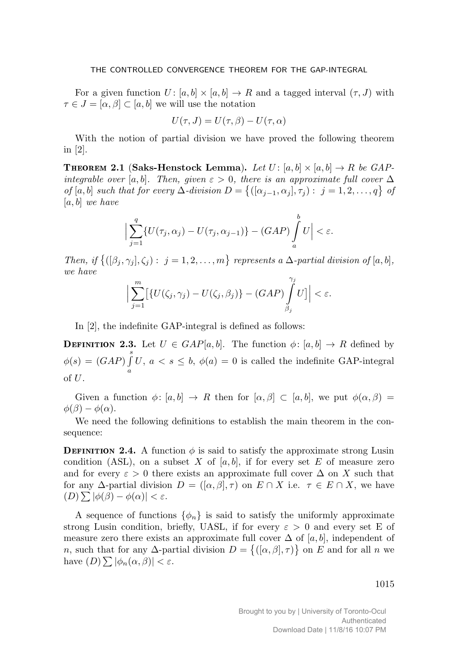For a given function  $U: [a, b] \times [a, b] \rightarrow R$  and a tagged interval  $(\tau, J)$  with  $\tau \in J = [\alpha, \beta] \subset [a, b]$  we will use the notation

$$
U(\tau, J) = U(\tau, \beta) - U(\tau, \alpha)
$$

With the notion of partial division we have proved the following theorem in [2].

Theorem 2.1 (Saks-Henstock Lemma). Let  $U\colon [a,b]\times [a,b]\to R$  be GAPintegrable over [a, b]. Then, given  $\varepsilon > 0$ , there is an approximate full cover  $\Delta$ of [a, b] such that for every  $\Delta$ -division  $D = \{([\alpha_{j-1}, \alpha_j], \tau_j) : j = 1, 2, ..., q\}$  of  $[a, b]$  we have

$$
\Big|\sum_{j=1}^q \{U(\tau_j,\alpha_j)-U(\tau_j,\alpha_{j-1})\}-(GAP)\int_a^b U\Big|<\varepsilon.
$$

Then, if  $\{([\beta_j,\gamma_j],\zeta_j): j=1,2,\ldots,m\}$  represents a  $\Delta$ -partial division of  $[a,b],$ we have

$$
\Big|\sum_{j=1}^m\big[\{U(\zeta_j,\gamma_j)-U(\zeta_j,\beta_j)\}-(GAP)\int\limits_{\beta_j}^{\gamma_j}U\big]\Big|<\varepsilon.
$$

In [2], the indefinite GAP-integral is defined as follows:

**DEFINITION 2.3.** Let  $U \in \text{GAP}[a, b]$ . The function  $\phi : [a, b] \to R$  defined by  $\phi(s)=(GAP)\int\limits_{0}^{s}$ a U,  $a < s \leq b$ ,  $\phi(a) = 0$  is called the indefinite GAP-integral of U.

Given a function  $\phi: [a, b] \to R$  then for  $[\alpha, \beta] \subset [a, b]$ , we put  $\phi(\alpha, \beta) =$  $\phi(\beta) - \phi(\alpha)$ .

We need the following definitions to establish the main theorem in the consequence:

**DEFINITION 2.4.** A function  $\phi$  is said to satisfy the approximate strong Lusin condition (ASL), on a subset X of  $[a, b]$ , if for every set E of measure zero and for every  $\varepsilon > 0$  there exists an approximate full cover  $\Delta$  on X such that for any  $\Delta$ -partial division  $D = (\alpha, \beta, \tau)$  on  $E \cap X$  i.e.  $\tau \in E \cap X$ , we have  $(D) \sum |\phi(\beta) - \phi(\alpha)| < \varepsilon.$ 

A sequence of functions  $\{\phi_n\}$  is said to satisfy the uniformly approximate strong Lusin condition, briefly, UASL, if for every  $\varepsilon > 0$  and every set E of measure zero there exists an approximate full cover  $\Delta$  of [a, b], independent of n, such that for any  $\Delta$ -partial division  $D = \{([\alpha, \beta], \tau)\}\$ on E and for all n we have  $(D) \sum |\phi_n(\alpha, \beta)| < \varepsilon$ .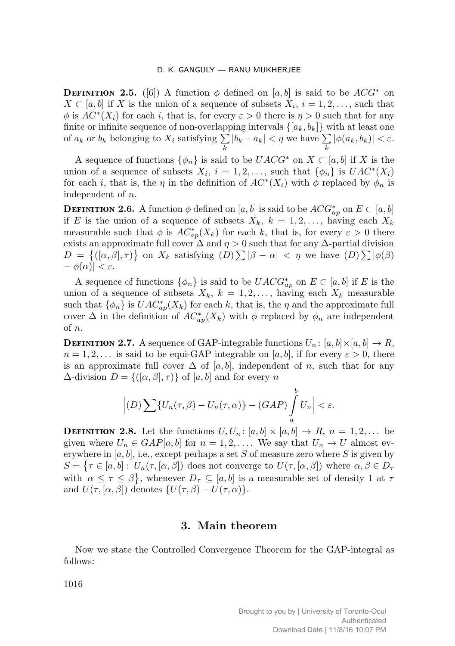**DEFINITION 2.5.** ([6]) A function  $\phi$  defined on [a, b] is said to be  $ACG^*$  on  $X \subset [a, b]$  if X is the union of a sequence of subsets  $X_i$ ,  $i = 1, 2, \ldots$ , such that  $\phi$  is  $AC^*(X_i)$  for each i, that is, for every  $\varepsilon > 0$  there is  $\eta > 0$  such that for any finite or infinite sequence of non-overlapping intervals  $\{[a_k, b_k]\}\$  with at least one of  $a_k$  or  $b_k$  belonging to  $X_i$  satisfying  $\sum$  $\sum_{k} |b_k - a_k| < \eta$  we have  $\sum_{k}$  $\sum_{k} |\phi(a_k, b_k)| < \varepsilon.$ 

A sequence of functions  $\{\phi_n\}$  is said to be  $UACG^*$  on  $X \subset [a, b]$  if X is the union of a sequence of subsets  $X_i$ ,  $i = 1, 2, \ldots$ , such that  $\{\phi_n\}$  is  $UAC^*(X_i)$ for each *i*, that is, the  $\eta$  in the definition of  $AC^*(X_i)$  with  $\phi$  replaced by  $\phi_n$  is independent of n.

**DEFINITION 2.6.** A function  $\phi$  defined on  $[a, b]$  is said to be  $ACC_{ap}^*$  on  $E \subset [a, b]$ if E is the union of a sequence of subsets  $X_k$ ,  $k = 1, 2, \ldots$ , having each  $X_k$ measurable such that  $\phi$  is  $AC^*_{ap}(X_k)$  for each k, that is, for every  $\varepsilon > 0$  there exists an approximate full cover  $\Delta$  and  $\eta > 0$  such that for any  $\Delta$ -partial division  $D = \{([\alpha, \beta], \tau)\}\$ on  $X_k$  satisfying  $(D) \sum |\beta - \alpha| < \eta$  we have  $(D) \sum |\phi(\beta)|$  $-\phi(\alpha)| < \varepsilon$ .

A sequence of functions  $\{\phi_n\}$  is said to be  $UACG^*_{ap}$  on  $E \subset [a, b]$  if E is the union of a sequence of subsets  $X_k$ ,  $k = 1, 2, \ldots$ , having each  $X_k$  measurable such that  $\{\phi_n\}$  is  $UAC^*_{ap}(X_k)$  for each k, that is, the  $\eta$  and the approximate full cover  $\Delta$  in the definition of  $AC^*_{ap}(X_k)$  with  $\phi$  replaced by  $\phi_n$  are independent of n.

**DEFINITION 2.7.** A sequence of GAP-integrable functions  $U_n \colon [a, b] \times [a, b] \to R$ ,  $n = 1, 2, \ldots$  is said to be equi-GAP integrable on [a, b], if for every  $\varepsilon > 0$ , there is an approximate full cover  $\Delta$  of [a, b], independent of n, such that for any  $\Delta$ -division  $D = \{([\alpha, \beta], \tau)\}\$  of  $[a, b]$  and for every n

$$
\left|(D)\sum\{U_n(\tau,\beta)-U_n(\tau,\alpha)\}-(GAP)\int_a^b U_n\right|<\varepsilon.
$$

**DEFINITION 2.8.** Let the functions  $U, U_n$ :  $[a, b] \times [a, b] \rightarrow R$ ,  $n = 1, 2, ...$  be given where  $U_n \in GAP[a, b]$  for  $n = 1, 2, \ldots$ . We say that  $U_n \to U$  almost everywhere in  $[a, b]$ , i.e., except perhaps a set S of measure zero where S is given by  $S = \{ \tau \in [a, b]: U_n(\tau, [\alpha, \beta]) \text{ does not converge to } U(\tau, [\alpha, \beta]) \text{ where } \alpha, \beta \in D_{\tau}$ with  $\alpha \leq \tau \leq \beta$ , whenever  $D_{\tau} \subseteq [a, b]$  is a measurable set of density 1 at  $\tau$ and  $U(\tau, [\alpha, \beta])$  denotes  $\{U(\tau, \beta) - U(\tau, \alpha)\}.$ 

## 3. Main theorem

Now we state the Controlled Convergence Theorem for the GAP-integral as follows: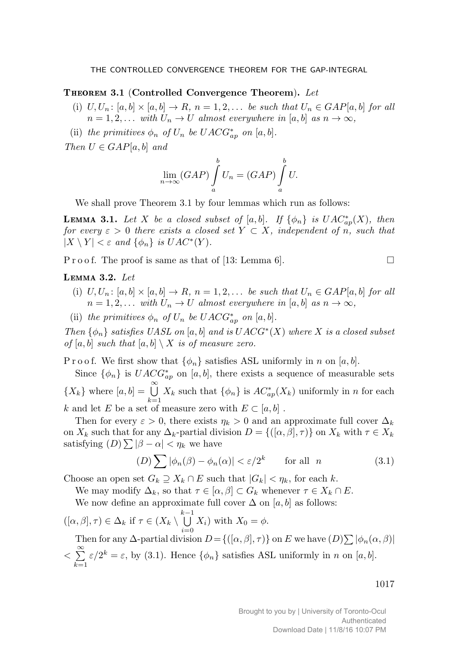## THEOREM 3.1 (Controlled Convergence Theorem).  $\emph{Let}$

- (i)  $U, U_n$ :  $[a, b] \times [a, b] \rightarrow R$ ,  $n = 1, 2, \ldots$  be such that  $U_n \in GAP[a, b]$  for all  $n = 1, 2, \ldots$  with  $U_n \to U$  almost everywhere in [a, b] as  $n \to \infty$ ,
- (ii) the primitives  $\phi_n$  of  $U_n$  be  $UACG^*_{ap}$  on [a, b].

Then  $U \in GAP[a, b]$  and

$$
\lim_{n \to \infty} (GAP) \int_{a}^{b} U_n = (GAP) \int_{a}^{b} U.
$$

We shall prove Theorem 3.1 by four lemmas which run as follows:

**LEMMA 3.1.** Let X be a closed subset of [a, b]. If  $\{\phi_n\}$  is  $UAC^*_{ap}(X)$ , then for every  $\varepsilon > 0$  there exists a closed set  $Y \subset X$ , independent of n, such that  $|X \setminus Y| < \varepsilon$  and  $\{\phi_n\}$  is  $UAC^*(Y)$ .

P r o o f. The proof is same as that of [13: Lemma 6].

#### LEMMA 3.2. Let

- (i)  $U, U_n$ :  $[a, b] \times [a, b] \rightarrow R$ ,  $n = 1, 2, \ldots$  be such that  $U_n \in GAP[a, b]$  for all  $n = 1, 2, \ldots$  with  $U_n \to U$  almost everywhere in [a, b] as  $n \to \infty$ ,
- (ii) the primitives  $\phi_n$  of  $U_n$  be  $UACG^*_{ap}$  on [a, b].

Then  $\{\phi_n\}$  satisfies UASL on [a, b] and is  $UACG^*(X)$  where X is a closed subset of [a, b] such that  $[a, b] \setminus X$  is of measure zero.

P r o o f. We first show that  $\{\phi_n\}$  satisfies ASL uniformly in n on [a, b].

Since  $\{\phi_n\}$  is  $UACG^*_{ap}$  on [a, b], there exists a sequence of measurable sets  ${X_k}$  where  $[a, b] = \bigcup_{k=1}^{\infty} X_k$  such that  ${\phi_n}$  is  $AC^*_{ap}(X_k)$  uniformly in n for each k and let E be a set of measure zero with  $E \subset [a, b]$ .

Then for every  $\varepsilon > 0$ , there exists  $\eta_k > 0$  and an approximate full cover  $\Delta_k$ on  $X_k$  such that for any  $\Delta_k$ -partial division  $D = \{([\alpha, \beta], \tau)\}\$ on  $X_k$  with  $\tau \in X_k$ satisfying  $(D) \sum |\beta - \alpha| < \eta_k$  we have

$$
(D)\sum |\phi_n(\beta) - \phi_n(\alpha)| < \varepsilon/2^k \qquad \text{for all} \quad n \tag{3.1}
$$

Choose an open set  $G_k \supseteq X_k \cap E$  such that  $|G_k| < \eta_k$ , for each k.

We may modify  $\Delta_k$ , so that  $\tau \in [\alpha, \beta] \subset G_k$  whenever  $\tau \in X_k \cap E$ .

We now define an approximate full cover  $\Delta$  on  $[a, b]$  as follows:

 $([\alpha, \beta], \tau) \in \Delta_k$  if  $\tau \in (X_k \setminus \bigcup^{k-1}$  $\bigcup_{i=0} X_i$  with  $X_0 = \phi$ . Then for any  $\Delta$ -partial division  $D = \{([\alpha, \beta], \tau)\}\$  on E we have  $(D) \sum |\phi_n(\alpha, \beta)|$  $\langle \sum_{i=1}^{\infty}$  $k=1$  $\varepsilon/2^k = \varepsilon$ , by (3.1). Hence  $\{\phi_n\}$  satisfies ASL uniformly in n on [a, b].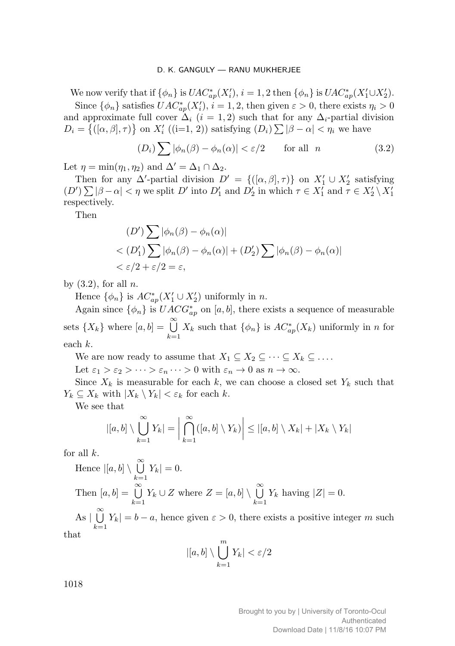We now verify that if  $\{\phi_n\}$  is  $UAC^*_{ap}(X'_i)$ ,  $i = 1, 2$  then  $\{\phi_n\}$  is  $UAC^*_{ap}(X'_1 \cup X'_2)$ .

Since  $\{\phi_n\}$  satisfies  $UAC^*_{ap}(X'_i)$ ,  $i = 1, 2$ , then given  $\varepsilon > 0$ , there exists  $\eta_i > 0$ and approximate full cover  $\Delta_i$  (i = 1, 2) such that for any  $\Delta_i$ -partial division  $D_i = \{([\alpha, \beta], \tau)\}\$  on  $X'_i$  ((i=1, 2)) satisfying  $(D_i) \sum |\beta - \alpha| < \eta_i$  we have

$$
(D_i) \sum |\phi_n(\beta) - \phi_n(\alpha)| < \varepsilon/2 \qquad \text{for all} \quad n \tag{3.2}
$$

Let  $\eta = \min(\eta_1, \eta_2)$  and  $\Delta' = \Delta_1 \cap \Delta_2$ .

Then for any  $\Delta'$ -partial division  $D' = \{([\alpha, \beta], \tau)\}\$ on  $X'_1 \cup X'_2$  satisfying  $(D')\sum |\beta-\alpha| < \eta$  we split D' into  $D'_1$  and  $D'_2$  in which  $\tau \in X'_1$  and  $\tau \in X'_2 \setminus X'_1$ respectively.

Then

$$
(D')\sum |\phi_n(\beta) - \phi_n(\alpha)|
$$
  
<  $(D'_1)\sum |\phi_n(\beta) - \phi_n(\alpha)| + (D'_2)\sum |\phi_n(\beta) - \phi_n(\alpha)|$   
<  $\varepsilon/2 + \varepsilon/2 = \varepsilon$ ,

by  $(3.2)$ , for all n.

Hence  $\{\phi_n\}$  is  $AC^*_{ap}(X'_1 \cup X'_2)$  uniformly in n.

Again since  $\{\phi_n\}$  is  $UACG^*_{ap}$  on [a, b], there exists a sequence of measurable sets  $\{X_k\}$  where  $[a, b] = \bigcup_{k=1}^{\infty}$  $k=1$  $X_k$  such that  $\{\phi_n\}$  is  $AC^*_{ap}(X_k)$  uniformly in n for each k.

We are now ready to assume that  $X_1 \subseteq X_2 \subseteq \cdots \subseteq X_k \subseteq \ldots$ .

Let  $\varepsilon_1 > \varepsilon_2 > \cdots > \varepsilon_n \cdots > 0$  with  $\varepsilon_n \to 0$  as  $n \to \infty$ .

Since  $X_k$  is measurable for each k, we can choose a closed set  $Y_k$  such that  $Y_k \subseteq X_k$  with  $|X_k \setminus Y_k| < \varepsilon_k$  for each k.

We see that

$$
|[a,b] \setminus \bigcup_{k=1}^{\infty} Y_k| = \bigg|\bigcap_{k=1}^{\infty} ([a,b] \setminus Y_k)\bigg| \leq |[a,b] \setminus X_k| + |X_k \setminus Y_k|
$$

for all  $k$ .

Hence 
$$
|[a, b] \setminus \bigcup_{k=1}^{\infty} Y_k| = 0
$$
.  
Then  $[a, b] = \bigcup_{k=1}^{\infty} Y_k \cup Z$  where  $Z = [a, b] \setminus \bigcup_{k=1}^{\infty} Y_k$  having  $|Z| = 0$ .

As  $|\bigcup_{k=0}^{\infty} Y_k| = b - a$ , hence given  $\varepsilon > 0$ , there exists a positive integer m such  $k=1$ that

$$
|[a,b] \setminus \bigcup_{k=1}^m Y_k| < \varepsilon/2
$$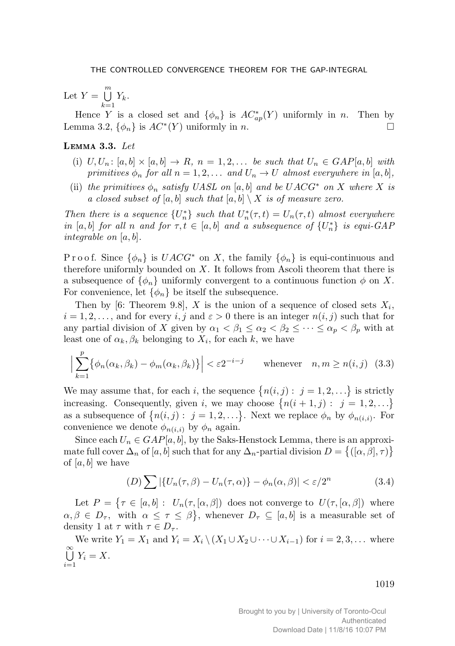Let  $Y = \bigcup^{m}$  $_{k=1}$  $Y_k$  .

Hence Y is a closed set and  $\{\phi_n\}$  is  $AC^*_{ap}(Y)$  uniformly in n. Then by Lemma 3.2,  $\{\phi_n\}$  is  $AC^*(Y)$  uniformly in *n*.

## LEMMA  $3.3.$  Let

- (i)  $U, U_n$ :  $[a, b] \times [a, b] \rightarrow R$ ,  $n = 1, 2, \ldots$  be such that  $U_n \in GAP[a, b]$  with primitives  $\phi_n$  for all  $n = 1, 2, \ldots$  and  $U_n \to U$  almost everywhere in [a, b],
- (ii) the primitives  $\phi_n$  satisfy UASL on [a, b] and be UACG<sup>\*</sup> on X where X is a closed subset of [a, b] such that  $[a, b] \setminus X$  is of measure zero.

Then there is a sequence  $\{U_n^*\}$  such that  $U_n^*(\tau,t) = U_n(\tau,t)$  almost everywhere in [a, b] for all n and for  $\tau, t \in [a, b]$  and a subsequence of  $\{U_n^*\}$  is equi-GAP integrable on [a, b].

P r o o f. Since  $\{\phi_n\}$  is  $UACG^*$  on X, the family  $\{\phi_n\}$  is equi-continuous and therefore uniformly bounded on  $X$ . It follows from Ascoli theorem that there is a subsequence of  $\{\phi_n\}$  uniformly convergent to a continuous function  $\phi$  on X. For convenience, let  $\{\phi_n\}$  be itself the subsequence.

Then by [6: Theorem 9.8], X is the union of a sequence of closed sets  $X_i$ ,  $i = 1, 2, \ldots$ , and for every i, j and  $\varepsilon > 0$  there is an integer  $n(i, j)$  such that for any partial division of X given by  $\alpha_1 < \beta_1 \leq \alpha_2 < \beta_2 \leq \cdots \leq \alpha_p < \beta_p$  with at least one of  $\alpha_k, \beta_k$  belonging to  $X_i$ , for each k, we have

$$
\left| \sum_{k=1}^{p} \{ \phi_n(\alpha_k, \beta_k) - \phi_m(\alpha_k, \beta_k) \} \right| < \varepsilon 2^{-i-j} \qquad \text{whenever} \quad n, m \ge n(i, j) \tag{3.3}
$$

We may assume that, for each i, the sequence  $\{n(i,j): j = 1, 2, ...\}$  is strictly increasing. Consequently, given i, we may choose  $\{n(i+1,j): j = 1,2,...\}$ as a subsequence of  $\{n(i,j): j=1,2,\ldots\}$ . Next we replace  $\phi_n$  by  $\phi_{n(i,i)}$ . For convenience we denote  $\phi_{n(i,i)}$  by  $\phi_n$  again.

Since each  $U_n \in GAP[a, b]$ , by the Saks-Henstock Lemma, there is an approximate full cover  $\Delta_n$  of  $[a, b]$  such that for any  $\Delta_n$ -partial division  $D = \{([\alpha, \beta], \tau)\}\$ of [a, b] we have

$$
(D)\sum |\{U_n(\tau,\beta) - U_n(\tau,\alpha)\} - \phi_n(\alpha,\beta)| < \varepsilon/2^n \tag{3.4}
$$

Let  $P = \{ \tau \in [a, b] : U_n(\tau, [\alpha, \beta]) \text{ does not converge to } U(\tau, [\alpha, \beta]) \text{ where }$  $\alpha, \beta \in D_\tau$ , with  $\alpha \leq \tau \leq \beta$ , whenever  $D_\tau \subseteq [a, b]$  is a measurable set of density 1 at  $\tau$  with  $\tau \in D_{\tau}$ .

We write  $Y_1 = X_1$  and  $Y_i = X_i \setminus (X_1 \cup X_2 \cup \cdots \cup X_{i-1})$  for  $i = 2, 3, \ldots$  where 。<br>U  $\bigcup_{i=1} Y_i = X.$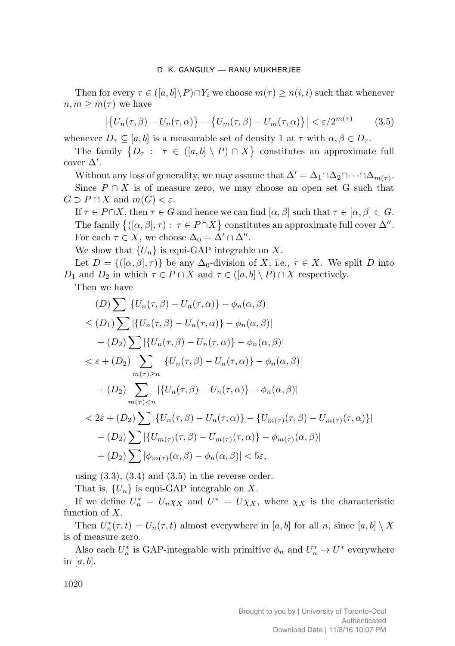Then for every  $\tau \in (\lbrack a,b\rbrack \backslash P) \cap Y_i$  we choose  $m(\tau) \geq n(i,i)$  such that whenever  $n, m \geq m(\tau)$  we have

$$
\left| \left\{ U_n(\tau,\beta) - U_n(\tau,\alpha) \right\} - \left\{ U_m(\tau,\beta) - U_m(\tau,\alpha) \right\} \right| < \varepsilon/2^{m(\tau)} \tag{3.5}
$$

whenever  $D_{\tau} \subseteq [a, b]$  is a measurable set of density 1 at  $\tau$  with  $\alpha, \beta \in D_{\tau}$ .

The family  $\{D_\tau : \tau \in ([a, b] \setminus P) \cap X\}$  constitutes an approximate full cover  $\Delta'$ .

Without any loss of generality, we may assume that  $\Delta' = \Delta_1 \cap \Delta_2 \cap \cdots \cap \Delta_{m(\tau)}$ . Since  $P \cap X$  is of measure zero, we may choose an open set G such that  $G \supset P \cap X$  and  $m(G) < \varepsilon$ .

If  $\tau \in P \cap X$ , then  $\tau \in G$  and hence we can find  $[\alpha, \beta]$  such that  $\tau \in [\alpha, \beta] \subset G$ . The family  $\{([\alpha,\beta],\tau): \tau \in P \cap X\}$  constitutes an approximate full cover  $\Delta''$ . For each  $\tau \in X$ , we choose  $\Delta_0 = \Delta' \cap \Delta''$ .

We show that  $\{U_n\}$  is equi-GAP integrable on X.

Let  $D = \{([\alpha, \beta], \tau)\}\$ be any  $\Delta_0$ -division of X, i.e.,  $\tau \in X$ . We split D into  $D_1$  and  $D_2$  in which  $\tau \in P \cap X$  and  $\tau \in ([a, b] \setminus P) \cap X$  respectively.

Then we have

$$
(D) \sum |\{U_n(\tau,\beta) - U_n(\tau,\alpha)\} - \phi_n(\alpha,\beta)|
$$
  
\n
$$
\leq (D_1) \sum |\{U_n(\tau,\beta) - U_n(\tau,\alpha)\} - \phi_n(\alpha,\beta)|
$$
  
\n
$$
+ (D_2) \sum |\{U_n(\tau,\beta) - U_n(\tau,\alpha)\} - \phi_n(\alpha,\beta)|
$$
  
\n
$$
< \varepsilon + (D_2) \sum_{m(\tau) \geq n} |\{U_n(\tau,\beta) - U_n(\tau,\alpha)\} - \phi_n(\alpha,\beta)|
$$
  
\n
$$
+ (D_2) \sum_{m(\tau) < n} |\{U_n(\tau,\beta) - U_n(\tau,\alpha)\} - \phi_n(\alpha,\beta)|
$$
  
\n
$$
< 2\varepsilon + (D_2) \sum |\{U_n(\tau,\beta) - U_n(\tau,\alpha)\} - \{U_{m(\tau)}(\tau,\beta) - U_{m(\tau)}(\tau,\alpha)\}|
$$
  
\n
$$
+ (D_2) \sum |\{U_{m(\tau)}(\tau,\beta) - U_{m(\tau)}(\tau,\alpha)\} - \phi_{m(\tau)}(\alpha,\beta)|
$$
  
\n
$$
+ (D_2) \sum |\phi_{m(\tau)}(\alpha,\beta) - \phi_n(\alpha,\beta)| < 5\varepsilon,
$$

using  $(3.3)$ ,  $(3.4)$  and  $(3.5)$  in the reverse order.

That is,  $\{U_n\}$  is equi-GAP integrable on X.

If we define  $U_n^* = U_n \chi_X$  and  $U^* = U \chi_X$ , where  $\chi_X$  is the characteristic function of  $X$ .

Then  $U_n^*(\tau, t) = U_n(\tau, t)$  almost everywhere in  $[a, b]$  for all n, since  $[a, b] \setminus X$ is of measure zero.

Also each  $U_n^*$  is GAP-integrable with primitive  $\phi_n$  and  $U_n^* \to U^*$  everywhere in [a, b].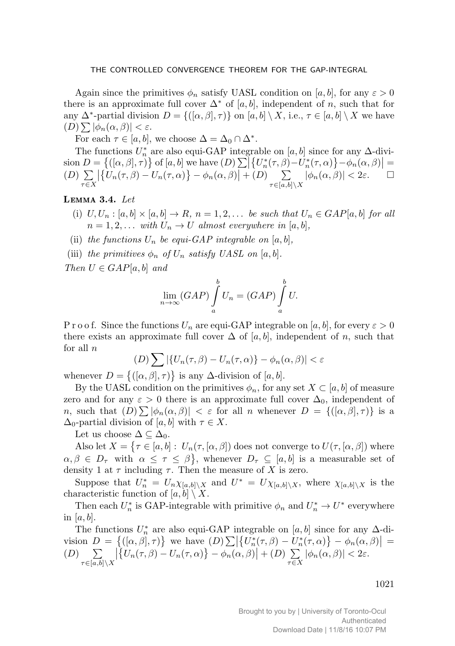Again since the primitives  $\phi_n$  satisfy UASL condition on [a, b], for any  $\varepsilon > 0$ there is an approximate full cover  $\Delta^*$  of [a, b], independent of n, such that for any  $\Delta^*$ -partial division  $D = \{([\alpha, \beta], \tau)\}\$ on  $[a, b] \setminus X$ , i.e.,  $\tau \in [a, b] \setminus X$  we have  $(D) \sum |\phi_n(\alpha, \beta)| < \varepsilon.$ 

For each  $\tau \in [a, b]$ , we choose  $\Delta = \Delta_0 \cap \Delta^*$ .

The functions  $U_n^*$  are also equi-GAP integrable on  $[a, b]$  since for any  $\Delta$ -divi- $\sin D = \{([\alpha, \beta], \tau)\}\$  of  $[a, b]$  we have  $(D) \sum |\{U_n^*(\tau, \beta) - U_n^*(\tau, \alpha)\} - \phi_n(\alpha, \beta)| =$  $(D) \sum$  $\tau \in X$  $\left| \left\{ U_n(\tau,\beta) - U_n(\tau,\alpha) \right\} - \phi_n(\alpha,\beta) \right| + (D) \sum_{\tau \in [\alpha,b]}$  $\tau{\in}[a,b]{\setminus}X$  $|\phi_n(\alpha, \beta)| < 2\varepsilon.$   $\Box$ 

### LEMMA  $3.4.$  Let

- (i)  $U, U_n : [a, b] \times [a, b] \rightarrow R$ ,  $n = 1, 2, \ldots$  be such that  $U_n \in GAP[a, b]$  for all  $n = 1, 2, \ldots$  with  $U_n \to U$  almost everywhere in [a, b],
- (ii) the functions  $U_n$  be equi-GAP integrable on [a, b],
- (iii) the primitives  $\phi_n$  of  $U_n$  satisfy UASL on [a, b].

Then  $U \in GAP[a, b]$  and

$$
\lim_{n \to \infty} (GAP) \int_{a}^{b} U_n = (GAP) \int_{a}^{b} U.
$$

P r o o f. Since the functions  $U_n$  are equi-GAP integrable on [a, b], for every  $\varepsilon > 0$ there exists an approximate full cover  $\Delta$  of [a, b], independent of n, such that for all  $n$ 

$$
(D)\sum |\{U_n(\tau,\beta) - U_n(\tau,\alpha)\} - \phi_n(\alpha,\beta)| < \varepsilon
$$

whenever  $D = \{([\alpha, \beta], \tau)\}\$ is any  $\Delta$ -division of  $[a, b].$ 

By the UASL condition on the primitives  $\phi_n$ , for any set  $X \subset [a, b]$  of measure zero and for any  $\varepsilon > 0$  there is an approximate full cover  $\Delta_0$ , independent of n, such that  $(D) \sum |\phi_n(\alpha, \beta)| < \varepsilon$  for all n whenever  $D = \{([\alpha, \beta], \tau)\}\$ is a  $\Delta_0$ -partial division of [a, b] with  $\tau \in X$ .

Let us choose  $\Delta \subseteq \Delta_0$ .

Also let  $X = \{ \tau \in [a, b] : U_n(\tau, [\alpha, \beta]) \text{ does not converge to } U(\tau, [\alpha, \beta]) \text{ where }$  $\alpha, \beta \in D_{\tau}$  with  $\alpha \leq \tau \leq \beta$ , whenever  $D_{\tau} \subseteq [a, b]$  is a measurable set of density 1 at  $\tau$  including  $\tau$ . Then the measure of X is zero.

Suppose that  $U_n^* = U_n \chi_{[a,b]\setminus X}$  and  $U^* = U \chi_{[a,b]\setminus X}$ , where  $\chi_{[a,b]\setminus X}$  is the characteristic function of  $[a, b] \setminus X$ .

Then each  $U_n^*$  is GAP-integrable with primitive  $\phi_n$  and  $U_n^* \to U^*$  everywhere in [a, b].

The functions  $U_n^*$  are also equi-GAP integrable on  $[a, b]$  since for any  $\Delta$ -division  $D = \{([\alpha, \beta], \tau)\}\$  we have  $(D) \sum |\{U_n^*(\tau, \beta) - U_n^*(\tau, \alpha)\} - \phi_n(\alpha, \beta)| =$  $(D) \sum$  $\tau{\in}[a{,}b]{\setminus}X$  $\left| \left\{ U_n(\tau,\beta) - U_n(\tau,\alpha) \right\} - \phi_n(\alpha,\beta) \right| + (D) \sum_{\tau \in \mathcal{N}}$  $\sum_{\tau \in X} |\phi_n(\alpha, \beta)| < 2\varepsilon.$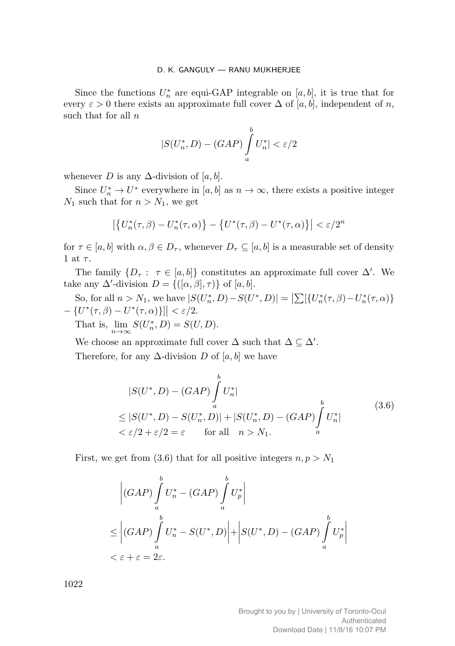Since the functions  $U_n^*$  are equi-GAP integrable on [a, b], it is true that for every  $\varepsilon > 0$  there exists an approximate full cover  $\Delta$  of [a, b], independent of n, such that for all  $n$ 

$$
|S(U_n^*, D) - (GAP)\int_a^b U_n^*| < \varepsilon/2
$$

whenever D is any  $\Delta$ -division of [a, b].

Since  $U_n^* \to U^*$  everywhere in  $[a, b]$  as  $n \to \infty$ , there exists a positive integer  $N_1$  such that for  $n>N_1$ , we get

$$
\left| \left\{ U_n^*(\tau,\beta) - U_n^*(\tau,\alpha) \right\} - \left\{ U^*(\tau,\beta) - U^*(\tau,\alpha) \right\} \right| < \varepsilon/2^n
$$

for  $\tau \in [a, b]$  with  $\alpha, \beta \in D_{\tau}$ , whenever  $D_{\tau} \subseteq [a, b]$  is a measurable set of density 1 at  $\tau$ .

The family  $\{D_\tau: \tau \in [a, b]\}$  constitutes an approximate full cover  $\Delta'$ . We take any  $\Delta'$ -division  $D = \{([\alpha, \beta], \tau)\}\$  of  $[a, b]$ .

So, for all  $n > N_1$ , we have  $|S(U_n^*, D) - S(U^*, D)| = |\sum_{n=1}^{\infty} \{U_n^*(\tau, \beta) - U_n^*(\tau, \alpha)\}|$  $-\left\{U^*(\tau,\beta)-U^*(\tau,\alpha)\right\}\right| < \varepsilon/2.$ That is,  $\lim_{n \to \infty} S(U_n^*, D) = S(U, D)$ .

We choose an approximate full cover  $\Delta$  such that  $\Delta \subseteq \Delta'$ .

Therefore, for any  $\Delta$ -division D of [a, b] we have

$$
|S(U^*, D) - (GAP) \int_a^b U_n^*|
$$
  
\n
$$
\leq |S(U^*, D) - S(U_n^*, D)| + |S(U_n^*, D) - (GAP) \int_a^b U_n^*|
$$
  
\n
$$
< \varepsilon/2 + \varepsilon/2 = \varepsilon \quad \text{for all} \quad n > N_1.
$$
\n(3.6)

First, we get from (3.6) that for all positive integers  $n, p > N_1$ 

$$
\left| (GAP) \int_{a}^{b} U_n^* - (GAP) \int_{a}^{b} U_p^* \right|
$$
  
\n
$$
\leq \left| (GAP) \int_{a}^{b} U_n^* - S(U^*, D) \right| + \left| S(U^*, D) - (GAP) \int_{a}^{b} U_p^* \right|
$$
  
\n
$$
< \varepsilon + \varepsilon = 2\varepsilon.
$$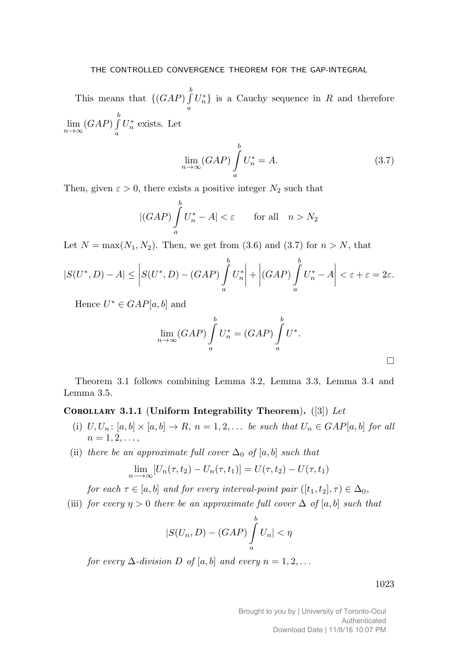This means that  $\{(\hat{G}AP) \int_{a}^{b}$ a  $U_n^*$  is a Cauchy sequence in R and therefore  $\lim_{n\to\infty}$  (GAP)  $\int_{a}^{b}$ a  $U_n^*$  exists. Let

$$
\lim_{n \to \infty} (GAP) \int_{a}^{b} U_n^* = A.
$$
\n(3.7)

Then, given  $\varepsilon > 0$ , there exists a positive integer  $N_2$  such that

$$
|(GAP)\int_{a}^{b} U_{n}^{*} - A| < \varepsilon \qquad \text{for all} \quad n > N_{2}
$$

Let  $N = \max(N_1, N_2)$ . Then, we get from (3.6) and (3.7) for  $n > N$ , that

$$
|S(U^*,D)-A| \leq \left|S(U^*,D)-(GAP)\int_a^b U_n^*\right| + \left|(GAP)\int_a^b U_n^*-A\right| < \varepsilon + \varepsilon = 2\varepsilon.
$$

Hence  $U^* \in GAP[a, b]$  and

$$
\lim_{n \to \infty} (GAP) \int_{a}^{b} U_n^* = (GAP) \int_{a}^{b} U^*.
$$

Theorem 3.1 follows combining Lemma 3.2, Lemma 3.3, Lemma 3.4 and Lemma 3.5.

## COROLLARY 3.1.1 (Uniform Integrability Theorem). ([3]) Let

- (i)  $U, U_n$ :  $[a, b] \times [a, b] \rightarrow R$ ,  $n = 1, 2, \ldots$  be such that  $U_n \in GAP[a, b]$  for all  $n = 1, 2, \ldots,$
- (ii) there be an approximate full cover  $\Delta_0$  of [a, b] such that

$$
\lim_{n \to \infty} [U_n(\tau, t_2) - U_n(\tau, t_1)] = U(\tau, t_2) - U(\tau, t_1)
$$

for each  $\tau \in [a, b]$  and for every interval-point pair  $([t_1, t_2], \tau) \in \Delta_0$ ,

(iii) for every  $\eta > 0$  there be an approximate full cover  $\Delta$  of [a, b] such that

$$
|S(U_n, D) - (GAP) \int_a^b U_n| < \eta
$$

for every  $\Delta$ -division D of [a, b] and every  $n = 1, 2, \ldots$ 

1023

 $\Box$ 

Brought to you by | University of Toronto-Ocul Authenticated Download Date | 11/8/16 10:07 PM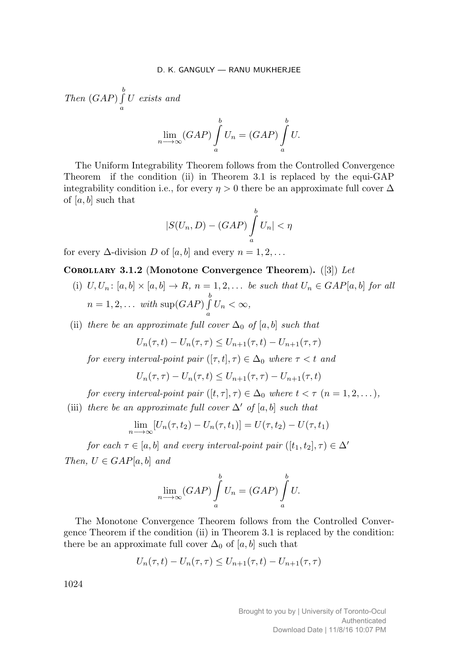Then  $(GAP)$   $\int_{0}^{b}$ a U exists and

$$
\lim_{n \to \infty} (GAP) \int_{a}^{b} U_n = (GAP) \int_{a}^{b} U.
$$

The Uniform Integrability Theorem follows from the Controlled Convergence Theorem if the condition (ii) in Theorem 3.1 is replaced by the equi-GAP integrability condition i.e., for every  $\eta > 0$  there be an approximate full cover  $\Delta$ of [a, b] such that

$$
|S(U_n, D) - (GAP) \int_a^b U_n| < \eta
$$

for every  $\Delta$ -division D of [a, b] and every  $n = 1, 2, \ldots$ 

## <code>COROLLARY 3.1.2</code> (Monotone Convergence Theorem).  $([3])$  Let

(i)  $U, U_n$ :  $[a, b] \times [a, b] \rightarrow R$ ,  $n = 1, 2, \ldots$  be such that  $U_n \in GAP[a, b]$  for all  $n = 1, 2, \ldots$  with  $\sup(GAP) \int^{b}$  $\int_a^{\infty} U_n < \infty,$ 

(ii) there be an approximate full cover  $\Delta_0$  of [a, b] such that

$$
U_n(\tau, t) - U_n(\tau, \tau) \le U_{n+1}(\tau, t) - U_{n+1}(\tau, \tau)
$$

for every interval-point pair  $([\tau, t], \tau) \in \Delta_0$  where  $\tau < t$  and

$$
U_n(\tau, \tau) - U_n(\tau, t) \le U_{n+1}(\tau, \tau) - U_{n+1}(\tau, t)
$$

for every interval-point pair  $([t, \tau], \tau) \in \Delta_0$  where  $t < \tau$   $(n = 1, 2, \dots),$ 

(iii) there be an approximate full cover  $\Delta'$  of [a, b] such that

$$
\lim_{n \to \infty} [U_n(\tau, t_2) - U_n(\tau, t_1)] = U(\tau, t_2) - U(\tau, t_1)
$$

for each  $\tau \in [a, b]$  and every interval-point pair  $([t_1, t_2], \tau) \in \Delta'$ Then,  $U \in GAP[a, b]$  and

$$
\lim_{n \to \infty} (GAP) \int_{a}^{b} U_n = (GAP) \int_{a}^{b} U.
$$

The Monotone Convergence Theorem follows from the Controlled Convergence Theorem if the condition (ii) in Theorem 3.1 is replaced by the condition: there be an approximate full cover  $\Delta_0$  of [a, b] such that

$$
U_n(\tau, t) - U_n(\tau, \tau) \le U_{n+1}(\tau, t) - U_{n+1}(\tau, \tau)
$$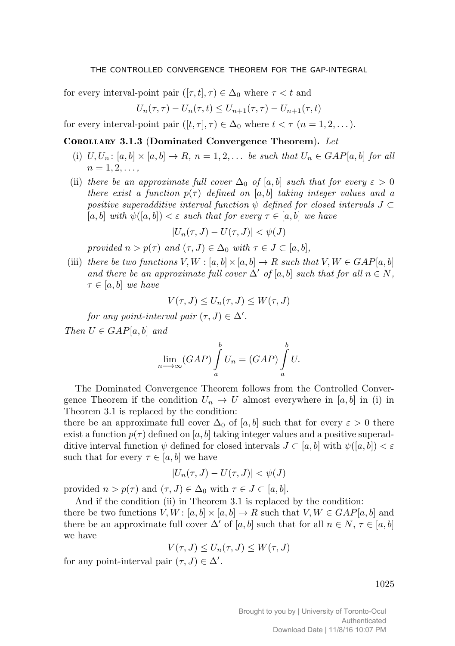for every interval-point pair  $([\tau, t], \tau) \in \Delta_0$  where  $\tau < t$  and

$$
U_n(\tau, \tau) - U_n(\tau, t) \le U_{n+1}(\tau, \tau) - U_{n+1}(\tau, t)
$$

for every interval-point pair  $([t, \tau], \tau) \in \Delta_0$  where  $t < \tau$   $(n = 1, 2, \dots).$ 

## COROLLARY 3.1.3 (Dominated Convergence Theorem). Let

- (i)  $U, U_n$ :  $[a, b] \times [a, b] \rightarrow R$ ,  $n = 1, 2, \ldots$  be such that  $U_n \in GAP[a, b]$  for all  $n = 1, 2, \ldots,$
- (ii) there be an approximate full cover  $\Delta_0$  of [a, b] such that for every  $\varepsilon > 0$ there exist a function  $p(\tau)$  defined on [a, b] taking integer values and a positive superadditive interval function  $\psi$  defined for closed intervals  $J \subset$  $[a, b]$  with  $\psi([a, b]) < \varepsilon$  such that for every  $\tau \in [a, b]$  we have

$$
|U_n(\tau,J) - U(\tau,J)| < \psi(J)
$$

provided  $n>p(\tau)$  and  $(\tau, J) \in \Delta_0$  with  $\tau \in J \subset [a, b],$ 

(iii) there be two functions  $V, W : [a, b] \times [a, b] \rightarrow R$  such that  $V, W \in GAP[a, b]$ and there be an approximate full cover  $\Delta'$  of [a, b] such that for all  $n \in N$ ,  $\tau \in [a, b]$  we have

$$
V(\tau, J) \le U_n(\tau, J) \le W(\tau, J)
$$

for any point-interval pair  $(\tau, J) \in \Delta'$ .

Then  $U \in GAP[a, b]$  and

$$
\lim_{n \to \infty} (GAP) \int_{a}^{b} U_n = (GAP) \int_{a}^{b} U.
$$

The Dominated Convergence Theorem follows from the Controlled Convergence Theorem if the condition  $U_n \to U$  almost everywhere in [a, b] in (i) in Theorem 3.1 is replaced by the condition:

there be an approximate full cover  $\Delta_0$  of [a, b] such that for every  $\varepsilon > 0$  there exist a function  $p(\tau)$  defined on [a, b] taking integer values and a positive superadditive interval function  $\psi$  defined for closed intervals  $J \subset [a, b]$  with  $\psi([a, b]) < \varepsilon$ such that for every  $\tau \in [a, b]$  we have

$$
|U_n(\tau,J)-U(\tau,J)|<\psi(J)
$$

provided  $n>p(\tau)$  and  $(\tau, J) \in \Delta_0$  with  $\tau \in J \subset [a, b]$ .

And if the condition (ii) in Theorem 3.1 is replaced by the condition: there be two functions  $V, W : [a, b] \times [a, b] \rightarrow R$  such that  $V, W \in GAP[a, b]$  and there be an approximate full cover  $\Delta'$  of [a, b] such that for all  $n \in N$ ,  $\tau \in [a, b]$ we have

$$
V(\tau, J) \le U_n(\tau, J) \le W(\tau, J)
$$

for any point-interval pair  $(\tau, J) \in \Delta'$ .